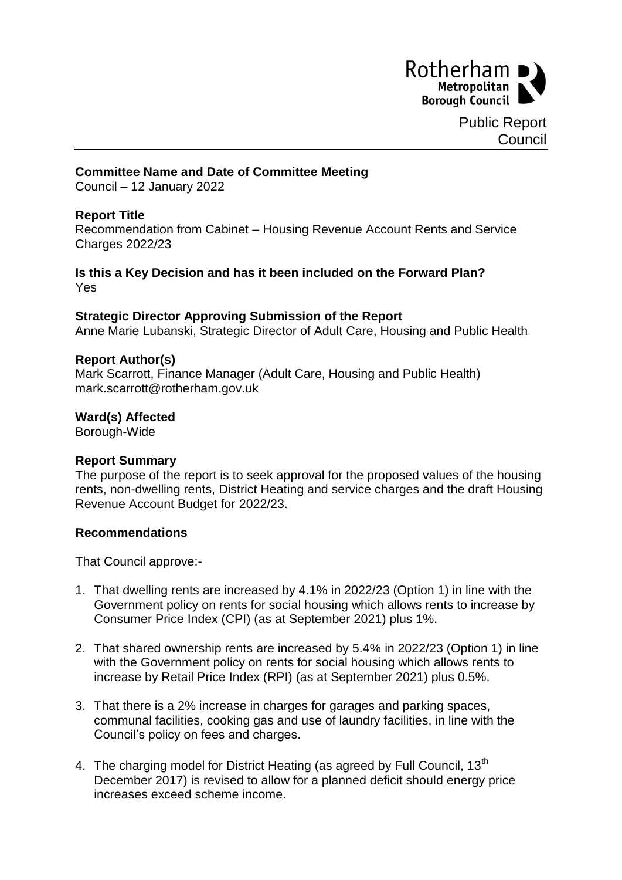

### **Committee Name and Date of Committee Meeting**

Council – 12 January 2022

## **Report Title**

Recommendation from Cabinet – Housing Revenue Account Rents and Service Charges 2022/23

#### **Is this a Key Decision and has it been included on the Forward Plan?** Yes

#### **Strategic Director Approving Submission of the Report**

Anne Marie Lubanski, Strategic Director of Adult Care, Housing and Public Health

#### **Report Author(s)**

Mark Scarrott, Finance Manager (Adult Care, Housing and Public Health) mark.scarrott@rotherham.gov.uk

#### **Ward(s) Affected**

Borough-Wide

## **Report Summary**

The purpose of the report is to seek approval for the proposed values of the housing rents, non-dwelling rents, District Heating and service charges and the draft Housing Revenue Account Budget for 2022/23.

## **Recommendations**

That Council approve:-

- 1. That dwelling rents are increased by 4.1% in 2022/23 (Option 1) in line with the Government policy on rents for social housing which allows rents to increase by Consumer Price Index (CPI) (as at September 2021) plus 1%.
- 2. That shared ownership rents are increased by 5.4% in 2022/23 (Option 1) in line with the Government policy on rents for social housing which allows rents to increase by Retail Price Index (RPI) (as at September 2021) plus 0.5%.
- 3. That there is a 2% increase in charges for garages and parking spaces, communal facilities, cooking gas and use of laundry facilities, in line with the Council's policy on fees and charges.
- 4. The charging model for District Heating (as agreed by Full Council, 13<sup>th</sup> December 2017) is revised to allow for a planned deficit should energy price increases exceed scheme income.